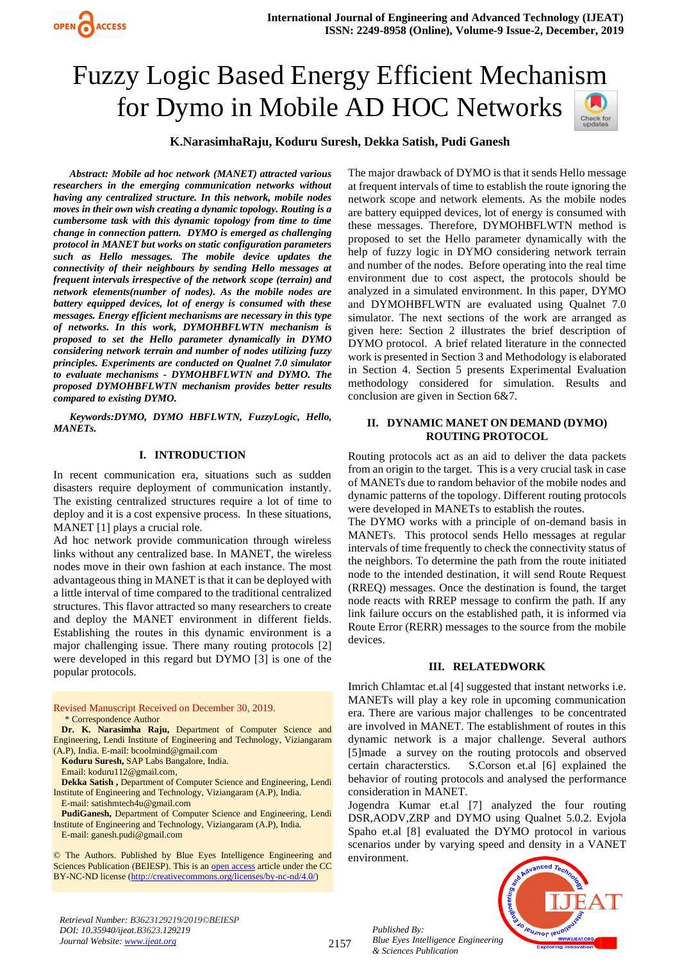# Fuzzy Logic Based Energy Efficient Mechanism for Dymo in Mobile AD HOC Networks

# **K.NarasimhaRaju, Koduru Suresh, Dekka Satish, Pudi Ganesh**

*Abstract: Mobile ad hoc network (MANET) attracted various researchers in the emerging communication networks without having any centralized structure. In this network, mobile nodes moves in their own wish creating a dynamic topology. Routing is a cumbersome task with this dynamic topology from time to time change in connection pattern. DYMO is emerged as challenging protocol in MANET but works on static configuration parameters such as Hello messages. The mobile device updates the connectivity of their neighbours by sending Hello messages at frequent intervals irrespective of the network scope (terrain) and network elements(number of nodes). As the mobile nodes are battery equipped devices, lot of energy is consumed with these messages. Energy efficient mechanisms are necessary in this type of networks. In this work, DYMOHBFLWTN mechanism is proposed to set the Hello parameter dynamically in DYMO considering network terrain and number of nodes utilizing fuzzy principles. Experiments are conducted on Qualnet 7.0 simulator to evaluate mechanisms - DYMOHBFLWTN and DYMO. The proposed DYMOHBFLWTN mechanism provides better results compared to existing DYMO.*

*Keywords:DYMO, DYMO HBFLWTN, FuzzyLogic, Hello, MANETs.*

## **I. INTRODUCTION**

In recent communication era, situations such as sudden disasters require deployment of communication instantly. The existing centralized structures require a lot of time to deploy and it is a cost expensive process. In these situations, MANET [1] plays a crucial role.

Ad hoc network provide communication through wireless links without any centralized base. In MANET, the wireless nodes move in their own fashion at each instance. The most advantageous thing in MANET is that it can be deployed with a little interval of time compared to the traditional centralized structures. This flavor attracted so many researchers to create and deploy the MANET environment in different fields. Establishing the routes in this dynamic environment is a major challenging issue. There many routing protocols [2] were developed in this regard but DYMO [3] is one of the popular protocols.

Revised Manuscript Received on December 30, 2019. \* Correspondence Author

**Dr. K. Narasimha Raju,** Department of Computer Science and Engineering, Lendi Institute of Engineering and Technology, Viziangaram (A.P), India. E-mail: [bcoolmind@gmail.com](mailto:bcoolmind@gmail.com)

**Koduru Suresh,** SAP Labs Bangalore, India.

Email: koduru112@gmail.com,

**Dekka Satish ,** Department of Computer Science and Engineering, Lendi Institute of Engineering and Technology, Viziangaram (A.P), India. E-mail: [satishmtech4u@gmail.com](mailto:satishmtech4u@gmail.com)

**PudiGanesh,** Department of Computer Science and Engineering, Lendi Institute of Engineering and Technology, Viziangaram (A.P), India. E-mail: [ganesh.pudi@gmail.com](mailto:ganesh.pudi@gmail.com)

© The Authors. Published by Blue Eyes Intelligence Engineering and Sciences Publication (BEIESP). This is a[n open access](https://www.openaccess.nl/en/open-publications) article under the CC BY-NC-ND license [\(http://creativecommons.org/licenses/by-nc-nd/4.0/\)](http://creativecommons.org/licenses/by-nc-nd/4.0/)

The major drawback of DYMO is that it sends Hello message at frequent intervals of time to establish the route ignoring the network scope and network elements. As the mobile nodes are battery equipped devices, lot of energy is consumed with these messages. Therefore, DYMOHBFLWTN method is proposed to set the Hello parameter dynamically with the help of fuzzy logic in DYMO considering network terrain and number of the nodes. Before operating into the real time environment due to cost aspect, the protocols should be analyzed in a simulated environment. In this paper, DYMO and DYMOHBFLWTN are evaluated using Qualnet 7.0 simulator. The next sections of the work are arranged as given here: Section 2 illustrates the brief description of DYMO protocol. A brief related literature in the connected work is presented in Section 3 and Methodology is elaborated in Section 4. Section 5 presents Experimental Evaluation methodology considered for simulation. Results and conclusion are given in Section 6&7.

## **II. DYNAMIC MANET ON DEMAND (DYMO) ROUTING PROTOCOL**

Routing protocols act as an aid to deliver the data packets from an origin to the target. This is a very crucial task in case of MANETs due to random behavior of the mobile nodes and dynamic patterns of the topology. Different routing protocols were developed in MANETs to establish the routes.

The DYMO works with a principle of on-demand basis in MANETs. This protocol sends Hello messages at regular intervals of time frequently to check the connectivity status of the neighbors. To determine the path from the route initiated node to the intended destination, it will send Route Request (RREQ) messages. Once the destination is found, the target node reacts with RREP message to confirm the path. If any link failure occurs on the established path, it is informed via Route Error (RERR) messages to the source from the mobile devices.

#### **III. RELATEDWORK**

Imrich Chlamtac et.al [4] suggested that instant networks i.e. MANETs will play a key role in upcoming communication era. There are various major challenges to be concentrated are involved in MANET. The establishment of routes in this dynamic network is a major challenge. Several authors [5]made a survey on the routing protocols and observed certain characterstics. S.Corson et.al [6] explained the behavior of routing protocols and analysed the performance consideration in MANET.

Jogendra Kumar et.al [7] analyzed the four routing DSR,AODV,ZRP and DYMO using Qualnet 5.0.2. Evjola Spaho et.al [8] evaluated the DYMO protocol in various scenarios under by varying speed and density in a VANET environment.

*Published By: Blue Eyes Intelligence Engineering & Sciences Publication* 



*Retrieval Number: B3623129219/2019©BEIESP DOI: 10.35940/ijeat.B3623.129219 Journal Website[: www.ijeat.org](http://www.ijeat.org/)*

2157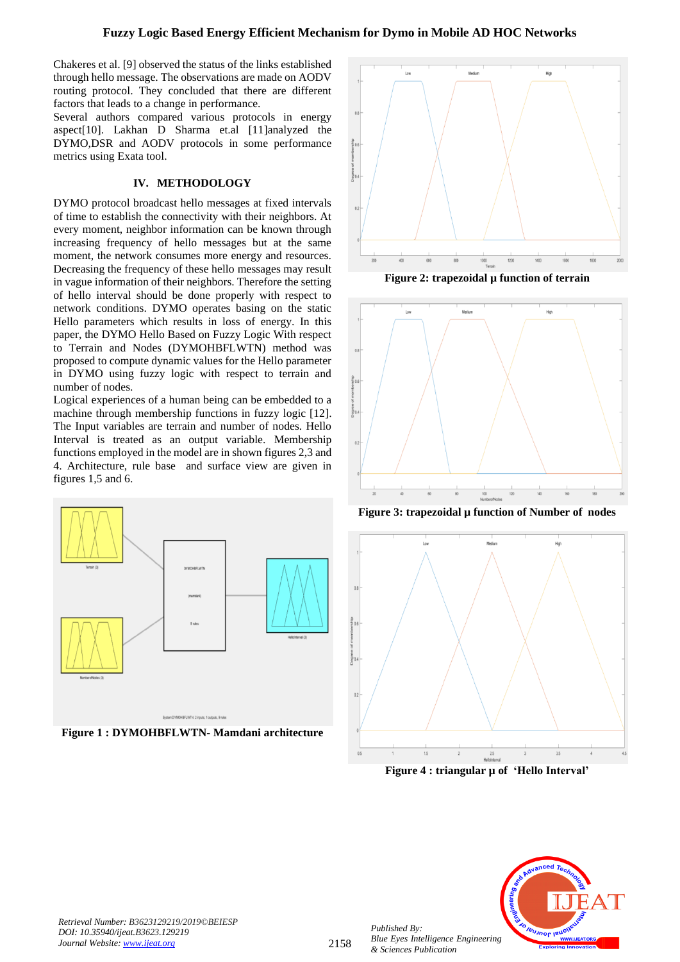# **Fuzzy Logic Based Energy Efficient Mechanism for Dymo in Mobile AD HOC Networks**

Chakeres et al. [9] observed the status of the links established through hello message. The observations are made on AODV routing protocol. They concluded that there are different factors that leads to a change in performance.

Several authors compared various protocols in energy aspect[10]. Lakhan D Sharma et.al [11]analyzed the DYMO,DSR and AODV protocols in some performance metrics using Exata tool.

### **IV. METHODOLOGY**

DYMO protocol broadcast hello messages at fixed intervals of time to establish the connectivity with their neighbors. At every moment, neighbor information can be known through increasing frequency of hello messages but at the same moment, the network consumes more energy and resources. Decreasing the frequency of these hello messages may result in vague information of their neighbors. Therefore the setting of hello interval should be done properly with respect to network conditions. DYMO operates basing on the static Hello parameters which results in loss of energy. In this paper, the DYMO Hello Based on Fuzzy Logic With respect to Terrain and Nodes (DYMOHBFLWTN) method was proposed to compute dynamic values for the Hello parameter in DYMO using fuzzy logic with respect to terrain and number of nodes.

Logical experiences of a human being can be embedded to a machine through membership functions in fuzzy logic [12]. The Input variables are terrain and number of nodes. Hello Interval is treated as an output variable. Membership functions employed in the model are in shown figures 2,3 and 4. Architecture, rule base and surface view are given in figures 1,5 and 6.



**Figure 1 : DYMOHBFLWTN- Mamdani architecture**



**Figure 2: trapezoidal µ function of terrain**



**Figure 3: trapezoidal µ function of Number of nodes**



**Figure 4 : triangular µ of 'Hello Interval'**



*Published By:*

*& Sciences Publication*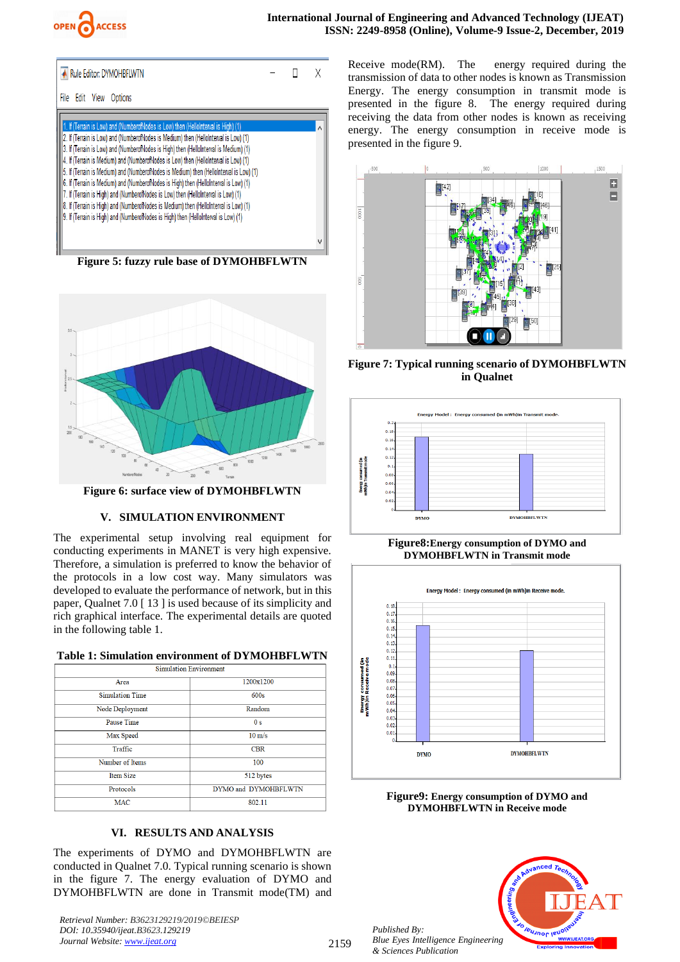

| Rule Editor: DYMOHBFLWTN                                                                                                                                                                                                                                                                                                                                                                                                                                                                                                                                                                                                                                                                                                                                                                                              |  |  |
|-----------------------------------------------------------------------------------------------------------------------------------------------------------------------------------------------------------------------------------------------------------------------------------------------------------------------------------------------------------------------------------------------------------------------------------------------------------------------------------------------------------------------------------------------------------------------------------------------------------------------------------------------------------------------------------------------------------------------------------------------------------------------------------------------------------------------|--|--|
| File Edit View Options                                                                                                                                                                                                                                                                                                                                                                                                                                                                                                                                                                                                                                                                                                                                                                                                |  |  |
| 1. If (Terrain is Low) and (NumberofNodes is Low) then (HelloInterval is High) (1)<br>2. If (Terrain is Low) and (NumberofNodes is Medium) then (HelloInterval is Low) (1)<br>3. If (Terrain is Low) and (NumberofNodes is High) then (HelloInterval is Medium) (1)<br>4. If (Terrain is Medium) and (NumberofNodes is Low) then (HelloInterval is Low) (1)<br>5. If (Terrain is Medium) and (NumberofNodes is Medium) then (HelloInterval is Low) (1)<br>6. If (Terrain is Medium) and (NumberofNodes is High) then (HelloInterval is Low) (1)<br>7. If (Terrain is High) and (NumberofNodes is Low) then (HelloInterval is Low) (1)<br>8. If (Terrain is High) and (NumberofNodes is Medium) then (HelloInterval is Low) (1)<br>9. If (Terrain is High) and (NumberofNodes is High) then (HelloInterval is Low) (1) |  |  |

**Figure 5: fuzzy rule base of DYMOHBFLWTN**



**Figure 6: surface view of DYMOHBFLWTN**

# **V. SIMULATION ENVIRONMENT**

The experimental setup involving real equipment for conducting experiments in MANET is very high expensive. Therefore, a simulation is preferred to know the behavior of the protocols in a low cost way. Many simulators was developed to evaluate the performance of network, but in this paper, Qualnet 7.0 [ 13 ] is used because of its simplicity and rich graphical interface. The experimental details are quoted in the following table 1.

| <b>Table 1: Simulation environment of DYMOHBFLWTN</b> |  |  |  |  |  |  |  |  |  |
|-------------------------------------------------------|--|--|--|--|--|--|--|--|--|
|-------------------------------------------------------|--|--|--|--|--|--|--|--|--|

| <b>Simulation Environment</b> |                      |  |  |  |  |
|-------------------------------|----------------------|--|--|--|--|
| Area                          | 1200x1200            |  |  |  |  |
| <b>Simulation Time</b>        | 600s                 |  |  |  |  |
| Node Deployment               | Random               |  |  |  |  |
| <b>Pause Time</b>             | 0 <sub>s</sub>       |  |  |  |  |
| Max Speed                     | $10 \text{ m/s}$     |  |  |  |  |
| Traffic                       | <b>CBR</b>           |  |  |  |  |
| Number of Items               | 100                  |  |  |  |  |
| <b>Item Size</b>              | 512 bytes            |  |  |  |  |
| Protocols                     | DYMO and DYMOHBFLWTN |  |  |  |  |
| <b>MAC</b>                    | 802.11               |  |  |  |  |

## **VI. RESULTS AND ANALYSIS**

The experiments of DYMO and DYMOHBFLWTN are conducted in Qualnet 7.0. Typical running scenario is shown in the figure 7. The energy evaluation of DYMO and DYMOHBFLWTN are done in Transmit mode(TM) and

*Retrieval Number: B3623129219/2019©BEIESP DOI: 10.35940/ijeat.B3623.129219 Journal Website[: www.ijeat.org](http://www.ijeat.org/)*

Receive mode(RM). The energy required during the transmission of data to other nodes is known as Transmission Energy. The energy consumption in transmit mode is presented in the figure 8. The energy required during receiving the data from other nodes is known as receiving energy. The energy consumption in receive mode is presented in the figure 9.



**Figure 7: Typical running scenario of DYMOHBFLWTN in Qualnet**



**Figure8:Energy consumption of DYMO and DYMOHBFLWTN in Transmit mode**



**Figure9: Energy consumption of DYMO and DYMOHBFLWTN in Receive mode**



2159